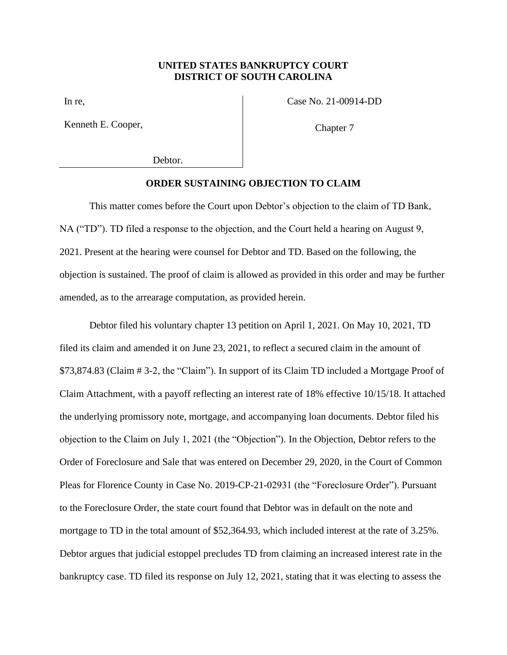## **UNITED STATES BANKRUPTCY COURT DISTRICT OF SOUTH CAROLINA**

In re,

Kenneth E. Cooper,

Case No. 21-00914-DD

Chapter 7

Debtor.

## **ORDER SUSTAINING OBJECTION TO CLAIM**

This matter comes before the Court upon Debtor's objection to the claim of TD Bank, NA ("TD"). TD filed a response to the objection, and the Court held a hearing on August 9, 2021. Present at the hearing were counsel for Debtor and TD. Based on the following, the objection is sustained. The proof of claim is allowed as provided in this order and may be further amended, as to the arrearage computation, as provided herein.

Debtor filed his voluntary chapter 13 petition on April 1, 2021. On May 10, 2021, TD filed its claim and amended it on June 23, 2021, to reflect a secured claim in the amount of \$73,874.83 (Claim # 3-2, the "Claim"). In support of its Claim TD included a Mortgage Proof of Claim Attachment, with a payoff reflecting an interest rate of 18% effective 10/15/18. It attached the underlying promissory note, mortgage, and accompanying loan documents. Debtor filed his objection to the Claim on July 1, 2021 (the "Objection"). In the Objection, Debtor refers to the Order of Foreclosure and Sale that was entered on December 29, 2020, in the Court of Common Pleas for Florence County in Case No. 2019-CP-21-02931 (the "Foreclosure Order"). Pursuant to the Foreclosure Order, the state court found that Debtor was in default on the note and mortgage to TD in the total amount of \$52,364.93, which included interest at the rate of 3.25%. Debtor argues that judicial estoppel precludes TD from claiming an increased interest rate in the bankruptcy case. TD filed its response on July 12, 2021, stating that it was electing to assess the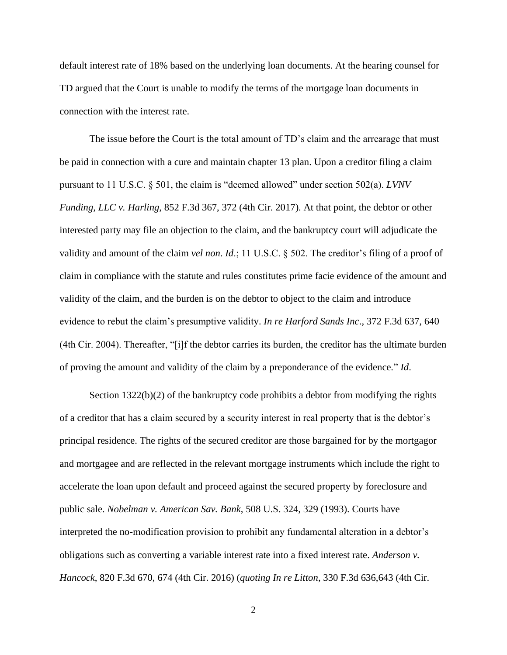default interest rate of 18% based on the underlying loan documents. At the hearing counsel for TD argued that the Court is unable to modify the terms of the mortgage loan documents in connection with the interest rate.

The issue before the Court is the total amount of TD's claim and the arrearage that must be paid in connection with a cure and maintain chapter 13 plan. Upon a creditor filing a claim pursuant to 11 U.S.C. § 501, the claim is "deemed allowed" under section 502(a). *LVNV Funding, LLC v. Harling*, 852 F.3d 367, 372 (4th Cir. 2017). At that point, the debtor or other interested party may file an objection to the claim, and the bankruptcy court will adjudicate the validity and amount of the claim *vel non*. *Id*.; 11 U.S.C. § 502. The creditor's filing of a proof of claim in compliance with the statute and rules constitutes prime facie evidence of the amount and validity of the claim, and the burden is on the debtor to object to the claim and introduce evidence to rebut the claim's presumptive validity. *In re Harford Sands Inc*., 372 F.3d 637, 640 (4th Cir. 2004). Thereafter, "[i]f the debtor carries its burden, the creditor has the ultimate burden of proving the amount and validity of the claim by a preponderance of the evidence." *Id*.

Section 1322(b)(2) of the bankruptcy code prohibits a debtor from modifying the rights of a creditor that has a claim secured by a security interest in real property that is the debtor's principal residence. The rights of the secured creditor are those bargained for by the mortgagor and mortgagee and are reflected in the relevant mortgage instruments which include the right to accelerate the loan upon default and proceed against the secured property by foreclosure and public sale. *Nobelman v. American Sav. Bank*, 508 U.S. 324, 329 (1993). Courts have interpreted the no-modification provision to prohibit any fundamental alteration in a debtor's obligations such as converting a variable interest rate into a fixed interest rate. *Anderson v. Hancock*, 820 F.3d 670, 674 (4th Cir. 2016) (*quoting In re Litton*, 330 F.3d 636,643 (4th Cir.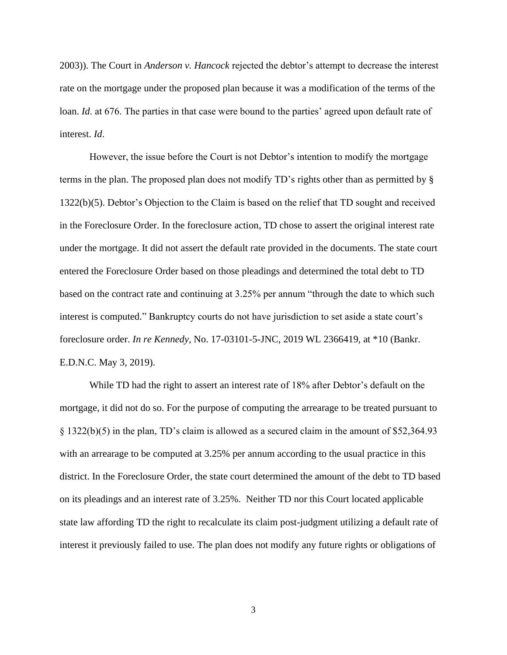2003)). The Court in *Anderson v. Hancock* rejected the debtor's attempt to decrease the interest rate on the mortgage under the proposed plan because it was a modification of the terms of the loan. *Id*. at 676. The parties in that case were bound to the parties' agreed upon default rate of interest. *Id*.

However, the issue before the Court is not Debtor's intention to modify the mortgage terms in the plan. The proposed plan does not modify TD's rights other than as permitted by § 1322(b)(5). Debtor's Objection to the Claim is based on the relief that TD sought and received in the Foreclosure Order. In the foreclosure action, TD chose to assert the original interest rate under the mortgage. It did not assert the default rate provided in the documents. The state court entered the Foreclosure Order based on those pleadings and determined the total debt to TD based on the contract rate and continuing at 3.25% per annum "through the date to which such interest is computed." Bankruptcy courts do not have jurisdiction to set aside a state court's foreclosure order. *In re Kennedy*, No. 17-03101-5-JNC, 2019 WL 2366419, at \*10 (Bankr. E.D.N.C. May 3, 2019).

While TD had the right to assert an interest rate of 18% after Debtor's default on the mortgage, it did not do so. For the purpose of computing the arrearage to be treated pursuant to § 1322(b)(5) in the plan, TD's claim is allowed as a secured claim in the amount of \$52,364.93 with an arrearage to be computed at  $3.25\%$  per annum according to the usual practice in this district. In the Foreclosure Order, the state court determined the amount of the debt to TD based on its pleadings and an interest rate of 3.25%. Neither TD nor this Court located applicable state law affording TD the right to recalculate its claim post-judgment utilizing a default rate of interest it previously failed to use. The plan does not modify any future rights or obligations of

3